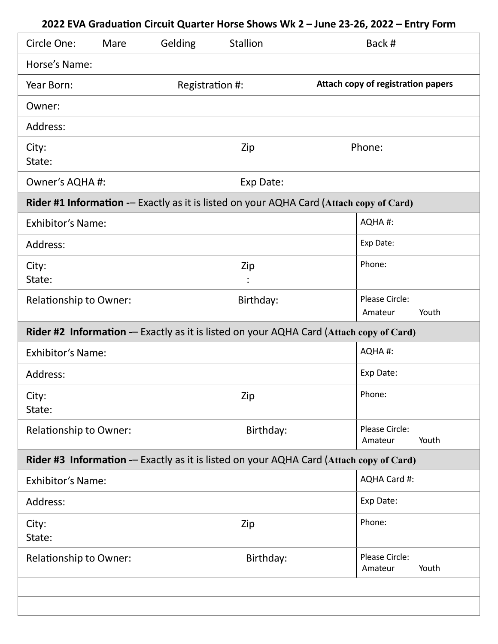| Circle One:                                                                             | Mare | Gelding         | <b>Stallion</b> | Back #                                                                                  |  |  |
|-----------------------------------------------------------------------------------------|------|-----------------|-----------------|-----------------------------------------------------------------------------------------|--|--|
| Horse's Name:                                                                           |      |                 |                 |                                                                                         |  |  |
| Year Born:                                                                              |      | Registration #: |                 | Attach copy of registration papers                                                      |  |  |
| Owner:                                                                                  |      |                 |                 |                                                                                         |  |  |
| Address:                                                                                |      |                 |                 |                                                                                         |  |  |
| City:<br>State:                                                                         |      |                 | Zip             | Phone:                                                                                  |  |  |
| Owner's AQHA #:                                                                         |      |                 | Exp Date:       |                                                                                         |  |  |
|                                                                                         |      |                 |                 | Rider #1 Information -- Exactly as it is listed on your AQHA Card (Attach copy of Card) |  |  |
| <b>Exhibitor's Name:</b>                                                                |      |                 |                 | AQHA#:                                                                                  |  |  |
| Address:                                                                                |      |                 |                 | Exp Date:                                                                               |  |  |
| City:<br>State:                                                                         |      |                 | Zip             | Phone:                                                                                  |  |  |
| <b>Relationship to Owner:</b>                                                           |      |                 | Birthday:       | Please Circle:<br>Amateur<br>Youth                                                      |  |  |
| Rider #2 Information -- Exactly as it is listed on your AQHA Card (Attach copy of Card) |      |                 |                 |                                                                                         |  |  |
| <b>Exhibitor's Name:</b>                                                                |      |                 |                 | AQHA#:                                                                                  |  |  |
| Address:                                                                                |      |                 |                 | Exp Date:                                                                               |  |  |
| City:<br>State:                                                                         |      |                 | Zip             | Phone:                                                                                  |  |  |
| <b>Relationship to Owner:</b>                                                           |      |                 | Birthday:       | Please Circle:<br>Youth<br>Amateur                                                      |  |  |
|                                                                                         |      |                 |                 | Rider #3 Information -- Exactly as it is listed on your AQHA Card (Attach copy of Card) |  |  |
| <b>Exhibitor's Name:</b>                                                                |      |                 |                 | AQHA Card #:                                                                            |  |  |
| Address:                                                                                |      |                 |                 | Exp Date:                                                                               |  |  |
| City:<br>State:                                                                         |      |                 | Zip             | Phone:                                                                                  |  |  |
| <b>Relationship to Owner:</b>                                                           |      |                 | Birthday:       | Please Circle:<br>Youth<br>Amateur                                                      |  |  |
|                                                                                         |      |                 |                 |                                                                                         |  |  |
|                                                                                         |      |                 |                 |                                                                                         |  |  |

## **2022 EVA Graduation Circuit Quarter Horse Shows Wk 2 – June 23-26, 2022 – Entry Form**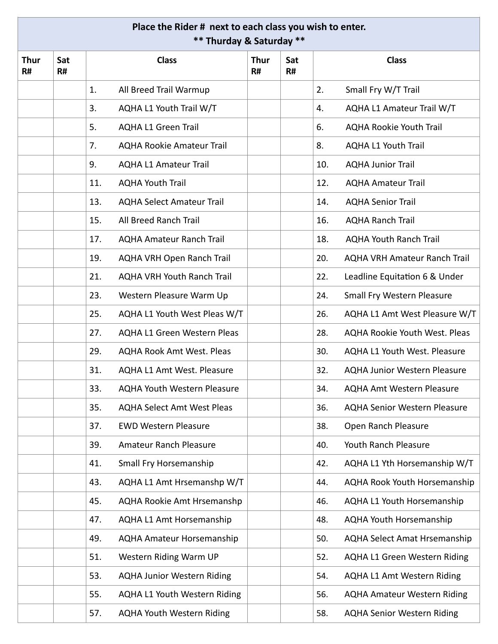## **Place the Rider # next to each class you wish to enter. \*\* Thurday & Saturday \*\***

| <b>Thur</b><br>R# | Sat<br>R# | <b>Class</b> |                                     | <b>Thur</b><br>R# | Sat<br>R# | <b>Class</b> |                                     |
|-------------------|-----------|--------------|-------------------------------------|-------------------|-----------|--------------|-------------------------------------|
|                   |           | 1.           | All Breed Trail Warmup              |                   |           | 2.           | Small Fry W/T Trail                 |
|                   |           | 3.           | AQHA L1 Youth Trail W/T             |                   |           | 4.           | AQHA L1 Amateur Trail W/T           |
|                   |           | 5.           | <b>AQHA L1 Green Trail</b>          |                   |           | 6.           | <b>AQHA Rookie Youth Trail</b>      |
|                   |           | 7.           | <b>AQHA Rookie Amateur Trail</b>    |                   |           | 8.           | <b>AQHA L1 Youth Trail</b>          |
|                   |           | 9.           | <b>AQHA L1 Amateur Trail</b>        |                   |           | 10.          | <b>AQHA Junior Trail</b>            |
|                   |           | 11.          | <b>AQHA Youth Trail</b>             |                   |           | 12.          | <b>AQHA Amateur Trail</b>           |
|                   |           | 13.          | <b>AQHA Select Amateur Trail</b>    |                   |           | 14.          | <b>AQHA Senior Trail</b>            |
|                   |           | 15.          | All Breed Ranch Trail               |                   |           | 16.          | <b>AQHA Ranch Trail</b>             |
|                   |           | 17.          | <b>AQHA Amateur Ranch Trail</b>     |                   |           | 18.          | <b>AQHA Youth Ranch Trail</b>       |
|                   |           | 19.          | AQHA VRH Open Ranch Trail           |                   |           | 20.          | <b>AQHA VRH Amateur Ranch Trail</b> |
|                   |           | 21.          | <b>AQHA VRH Youth Ranch Trail</b>   |                   |           | 22.          | Leadline Equitation 6 & Under       |
|                   |           | 23.          | Western Pleasure Warm Up            |                   |           | 24.          | Small Fry Western Pleasure          |
|                   |           | 25.          | AQHA L1 Youth West Pleas W/T        |                   |           | 26.          | AQHA L1 Amt West Pleasure W/T       |
|                   |           | 27.          | <b>AQHA L1 Green Western Pleas</b>  |                   |           | 28.          | AQHA Rookie Youth West. Pleas       |
|                   |           | 29.          | <b>AQHA Rook Amt West. Pleas</b>    |                   |           | 30.          | AQHA L1 Youth West. Pleasure        |
|                   |           | 31.          | <b>AQHA L1 Amt West. Pleasure</b>   |                   |           | 32.          | <b>AQHA Junior Western Pleasure</b> |
|                   |           | 33.          | <b>AQHA Youth Western Pleasure</b>  |                   |           | 34.          | <b>AQHA Amt Western Pleasure</b>    |
|                   |           | 35.          | <b>AQHA Select Amt West Pleas</b>   |                   |           | 36.          | <b>AQHA Senior Western Pleasure</b> |
|                   |           | 37.          | <b>EWD Western Pleasure</b>         |                   |           | 38.          | Open Ranch Pleasure                 |
|                   |           | 39.          | Amateur Ranch Pleasure              |                   |           | 40.          | Youth Ranch Pleasure                |
|                   |           | 41.          | Small Fry Horsemanship              |                   |           | 42.          | AQHA L1 Yth Horsemanship W/T        |
|                   |           | 43.          | AQHA L1 Amt Hrsemanshp W/T          |                   |           | 44.          | AQHA Rook Youth Horsemanship        |
|                   |           | 45.          | <b>AQHA Rookie Amt Hrsemanshp</b>   |                   |           | 46.          | AQHA L1 Youth Horsemanship          |
|                   |           | 47.          | <b>AQHA L1 Amt Horsemanship</b>     |                   |           | 48.          | AQHA Youth Horsemanship             |
|                   |           | 49.          | <b>AQHA Amateur Horsemanship</b>    |                   |           | 50.          | <b>AQHA Select Amat Hrsemanship</b> |
|                   |           | 51.          | Western Riding Warm UP              |                   |           | 52.          | <b>AQHA L1 Green Western Riding</b> |
|                   |           | 53.          | <b>AQHA Junior Western Riding</b>   |                   |           | 54.          | <b>AQHA L1 Amt Western Riding</b>   |
|                   |           | 55.          | <b>AQHA L1 Youth Western Riding</b> |                   |           | 56.          | <b>AQHA Amateur Western Riding</b>  |
|                   |           | 57.          | <b>AQHA Youth Western Riding</b>    |                   |           | 58.          | <b>AQHA Senior Western Riding</b>   |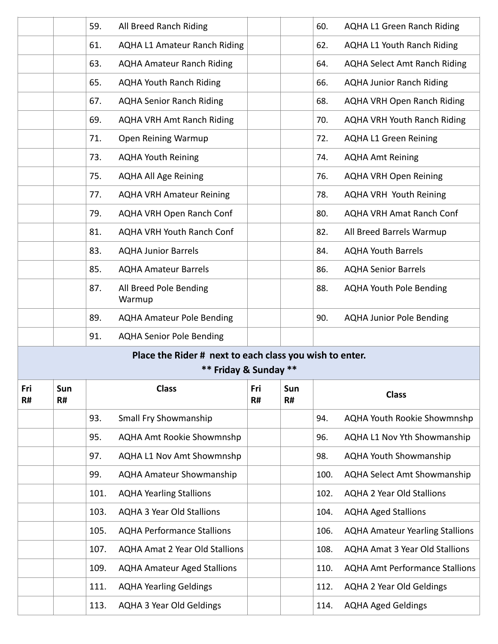|           |           | 59.  | All Breed Ranch Riding                                                           |           |           | 60.  | <b>AQHA L1 Green Ranch Riding</b>      |
|-----------|-----------|------|----------------------------------------------------------------------------------|-----------|-----------|------|----------------------------------------|
|           |           | 61.  | <b>AQHA L1 Amateur Ranch Riding</b>                                              |           |           | 62.  | <b>AQHA L1 Youth Ranch Riding</b>      |
|           |           | 63.  | <b>AQHA Amateur Ranch Riding</b>                                                 |           |           | 64.  | <b>AQHA Select Amt Ranch Riding</b>    |
|           |           | 65.  | <b>AQHA Youth Ranch Riding</b>                                                   |           |           | 66.  | <b>AQHA Junior Ranch Riding</b>        |
|           |           | 67.  | <b>AQHA Senior Ranch Riding</b>                                                  |           |           | 68.  | <b>AQHA VRH Open Ranch Riding</b>      |
|           |           | 69.  | <b>AQHA VRH Amt Ranch Riding</b>                                                 |           |           | 70.  | <b>AQHA VRH Youth Ranch Riding</b>     |
|           |           | 71.  | Open Reining Warmup                                                              |           |           | 72.  | <b>AQHA L1 Green Reining</b>           |
|           |           | 73.  | <b>AQHA Youth Reining</b>                                                        |           |           | 74.  | <b>AQHA Amt Reining</b>                |
|           |           | 75.  | <b>AQHA All Age Reining</b>                                                      |           |           | 76.  | <b>AQHA VRH Open Reining</b>           |
|           |           | 77.  | <b>AQHA VRH Amateur Reining</b>                                                  |           |           | 78.  | <b>AQHA VRH Youth Reining</b>          |
|           |           | 79.  | AQHA VRH Open Ranch Conf                                                         |           |           | 80.  | <b>AQHA VRH Amat Ranch Conf</b>        |
|           |           | 81.  | <b>AQHA VRH Youth Ranch Conf</b>                                                 |           |           | 82.  | All Breed Barrels Warmup               |
|           |           | 83.  | <b>AQHA Junior Barrels</b>                                                       |           |           | 84.  | <b>AQHA Youth Barrels</b>              |
|           |           | 85.  | <b>AQHA Amateur Barrels</b>                                                      |           |           | 86.  | <b>AQHA Senior Barrels</b>             |
|           |           | 87.  | All Breed Pole Bending<br>Warmup                                                 |           |           | 88.  | <b>AQHA Youth Pole Bending</b>         |
|           |           | 89.  | <b>AQHA Amateur Pole Bending</b>                                                 |           |           | 90.  | <b>AQHA Junior Pole Bending</b>        |
|           |           | 91.  | <b>AQHA Senior Pole Bending</b>                                                  |           |           |      |                                        |
|           |           |      | Place the Rider # next to each class you wish to enter.<br>** Friday & Sunday ** |           |           |      |                                        |
| Fri<br>R# | Sun<br>R# |      | <b>Class</b>                                                                     | Fri<br>R# | Sun<br>R# |      | <b>Class</b>                           |
|           |           | 93.  | Small Fry Showmanship                                                            |           |           | 94.  | <b>AQHA Youth Rookie Showmnshp</b>     |
|           |           | 95.  | <b>AQHA Amt Rookie Showmnshp</b>                                                 |           |           | 96.  | AQHA L1 Nov Yth Showmanship            |
|           |           | 97.  | <b>AQHA L1 Nov Amt Showmnshp</b>                                                 |           |           | 98.  | <b>AQHA Youth Showmanship</b>          |
|           |           | 99.  | <b>AQHA Amateur Showmanship</b>                                                  |           |           | 100. | <b>AQHA Select Amt Showmanship</b>     |
|           |           | 101. | <b>AQHA Yearling Stallions</b>                                                   |           |           | 102. | <b>AQHA 2 Year Old Stallions</b>       |
|           |           | 103. | <b>AQHA 3 Year Old Stallions</b>                                                 |           |           | 104. | <b>AQHA Aged Stallions</b>             |
|           |           | 105. | <b>AQHA Performance Stallions</b>                                                |           |           | 106. | <b>AQHA Amateur Yearling Stallions</b> |
|           |           | 107. | <b>AQHA Amat 2 Year Old Stallions</b>                                            |           |           | 108. | <b>AQHA Amat 3 Year Old Stallions</b>  |
|           |           | 109. | <b>AQHA Amateur Aged Stallions</b>                                               |           |           | 110. | <b>AQHA Amt Performance Stallions</b>  |
|           |           | 111. | <b>AQHA Yearling Geldings</b>                                                    |           |           | 112. | <b>AQHA 2 Year Old Geldings</b>        |
|           |           | 113. | <b>AQHA 3 Year Old Geldings</b>                                                  |           |           | 114. | <b>AQHA Aged Geldings</b>              |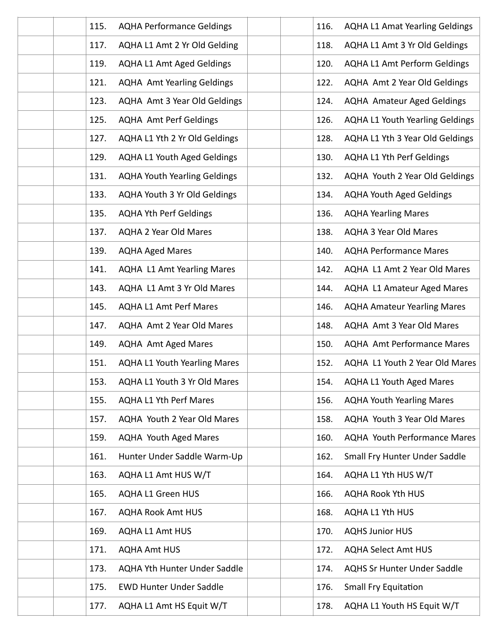| 115.<br><b>AQHA Performance Geldings</b>    | 116. | <b>AQHA L1 Amat Yearling Geldings</b>  |
|---------------------------------------------|------|----------------------------------------|
| 117.<br>AQHA L1 Amt 2 Yr Old Gelding        | 118. | AQHA L1 Amt 3 Yr Old Geldings          |
| 119.<br><b>AQHA L1 Amt Aged Geldings</b>    | 120. | <b>AQHA L1 Amt Perform Geldings</b>    |
| 121.<br><b>AQHA Amt Yearling Geldings</b>   | 122. | AQHA Amt 2 Year Old Geldings           |
| AQHA Amt 3 Year Old Geldings<br>123.        | 124. | <b>AQHA Amateur Aged Geldings</b>      |
| 125.<br><b>AQHA Amt Perf Geldings</b>       | 126. | <b>AQHA L1 Youth Yearling Geldings</b> |
| AQHA L1 Yth 2 Yr Old Geldings<br>127.       | 128. | AQHA L1 Yth 3 Year Old Geldings        |
| 129.<br><b>AQHA L1 Youth Aged Geldings</b>  | 130. | <b>AQHA L1 Yth Perf Geldings</b>       |
| 131.<br><b>AQHA Youth Yearling Geldings</b> | 132. | AQHA Youth 2 Year Old Geldings         |
| <b>AQHA Youth 3 Yr Old Geldings</b><br>133. | 134. | <b>AQHA Youth Aged Geldings</b>        |
| <b>AQHA Yth Perf Geldings</b><br>135.       | 136. | <b>AQHA Yearling Mares</b>             |
| <b>AQHA 2 Year Old Mares</b><br>137.        | 138. | <b>AQHA 3 Year Old Mares</b>           |
| 139.<br><b>AQHA Aged Mares</b>              | 140. | <b>AQHA Performance Mares</b>          |
| 141.<br><b>AQHA L1 Amt Yearling Mares</b>   | 142. | AQHA L1 Amt 2 Year Old Mares           |
| AQHA L1 Amt 3 Yr Old Mares<br>143.          | 144. | AQHA L1 Amateur Aged Mares             |
| <b>AQHA L1 Amt Perf Mares</b><br>145.       | 146. | <b>AQHA Amateur Yearling Mares</b>     |
| AQHA Amt 2 Year Old Mares<br>147.           | 148. | AQHA Amt 3 Year Old Mares              |
| <b>AQHA Amt Aged Mares</b><br>149.          | 150. | <b>AQHA Amt Performance Mares</b>      |
| 151.<br><b>AQHA L1 Youth Yearling Mares</b> | 152. | AQHA L1 Youth 2 Year Old Mares         |
| 153.<br>AQHA L1 Youth 3 Yr Old Mares        | 154. | <b>AQHA L1 Youth Aged Mares</b>        |
| <b>AQHA L1 Yth Perf Mares</b><br>155.       | 156. | <b>AQHA Youth Yearling Mares</b>       |
| AQHA Youth 2 Year Old Mares<br>157.         | 158. | AQHA Youth 3 Year Old Mares            |
| <b>AQHA Youth Aged Mares</b><br>159.        | 160. | AQHA Youth Performance Mares           |
| 161.<br>Hunter Under Saddle Warm-Up         | 162. | Small Fry Hunter Under Saddle          |
| 163.<br>AQHA L1 Amt HUS W/T                 | 164. | AQHA L1 Yth HUS W/T                    |
| 165.<br><b>AQHA L1 Green HUS</b>            | 166. | <b>AQHA Rook Yth HUS</b>               |
| <b>AQHA Rook Amt HUS</b><br>167.            | 168. | AQHA L1 Yth HUS                        |
| <b>AQHA L1 Amt HUS</b><br>169.              | 170. | <b>AQHS Junior HUS</b>                 |
| <b>AQHA Amt HUS</b><br>171.                 | 172. | <b>AQHA Select Amt HUS</b>             |
| <b>AQHA Yth Hunter Under Saddle</b><br>173. | 174. | <b>AQHS Sr Hunter Under Saddle</b>     |
| 175.<br><b>EWD Hunter Under Saddle</b>      | 176. | <b>Small Fry Equitation</b>            |
| AQHA L1 Amt HS Equit W/T<br>177.            | 178. | AQHA L1 Youth HS Equit W/T             |